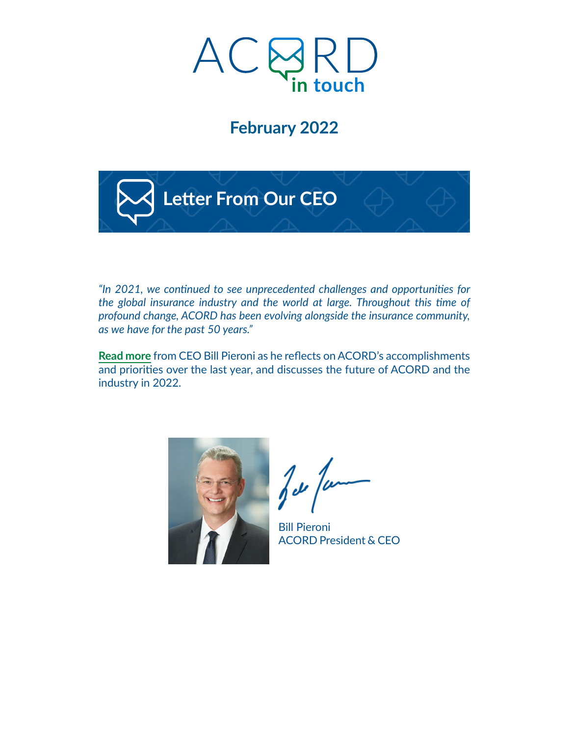

# **February 2022**



*"In 2021, we continued to see unprecedented challenges and opportunities for the global insurance industry and the world at large. Throughout this time of profound change, ACORD has been evolving alongside the insurance community, as we have for the past 50 years."*

**[Read more](https://acord.createsend1.com/t/d-i-akdjhn-l-y/)** from CEO Bill Pieroni as he reflects on ACORD's accomplishments and priorities over the last year, and discusses the future of ACORD and the industry in 2022.



 $\sqrt{\epsilon}$ 

Bill Pieroni ACORD President & CEO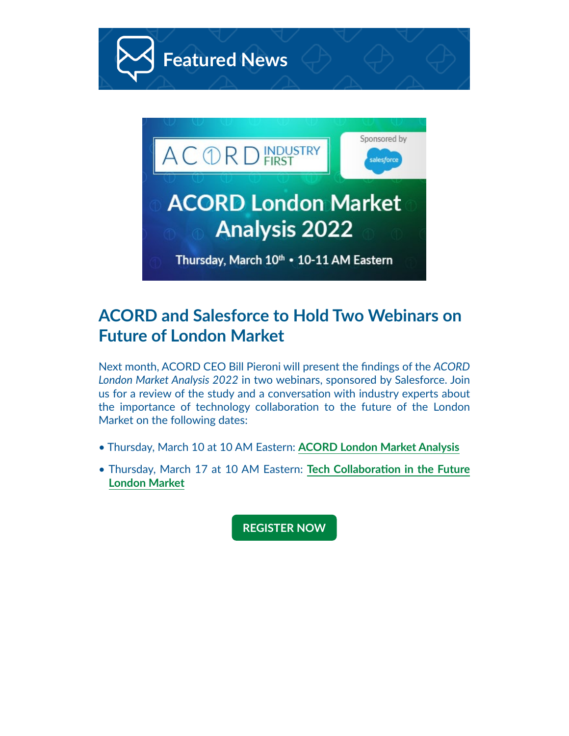

#### **ACORD and Salesforce to Hold Two Webinars on Future of London Market**

Next month, ACORD CEO Bill Pieroni will present the findings of the *ACORD London Market Analysis 2022* in two webinars, sponsored by Salesforce. Join us for a review of the study and a conversation with industry experts about the importance of technology collaboration to the future of the London Market on the following dates:

- Thursday, March 10 at 10 AM Eastern: **[ACORD London Market Analysis](https://acord.createsend1.com/t/d-i-akdjhn-l-t/)**
- Thursday, March 17 at 10 AM Eastern: **[Tech Collaboration in the Future](https://acord.createsend1.com/t/d-i-akdjhn-l-i/) [London Market](https://acord.createsend1.com/t/d-i-akdjhn-l-i/)**

**[REGISTER NOW](https://acord.createsend1.com/t/d-i-akdjhn-l-d/)**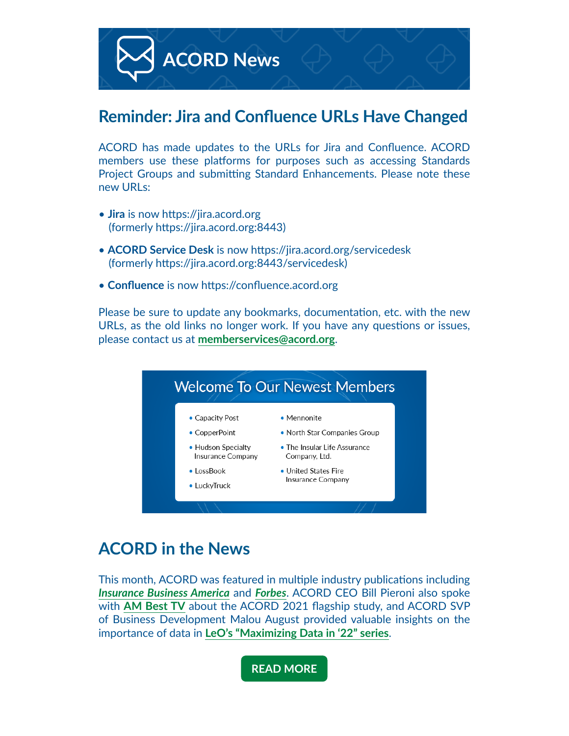

#### **Reminder: Jira and Confluence URLs Have Changed**

ACORD has made updates to the URLs for Jira and Confluence. ACORD members use these platforms for purposes such as accessing Standards Project Groups and submitting Standard Enhancements. Please note these new URLs:

- **Jira** is now https://jira.acord.org (formerly https://jira.acord.org:8443)
- **ACORD Service Desk** is now https://jira.acord.org/servicedesk (formerly https://jira.acord.org:8443/servicedesk)
- **Confluence** is now https://confluence.acord.org

Please be sure to update any bookmarks, documentation, etc. with the new URLs, as the old links no longer work. If you have any questions or issues, please contact us at **[memberservices@acord.org](mailto:memberservices%40acord.org?subject=)**.



## **ACORD in the News**

This month, ACORD was featured in multiple industry publications including *[Insurance Business America](https://acord.createsend1.com/t/d-i-akdjhn-l-h/)* and *[Forbes](https://acord.createsend1.com/t/d-i-akdjhn-l-k/)*. ACORD CEO Bill Pieroni also spoke with **[AM Best TV](https://acord.createsend1.com/t/d-i-akdjhn-l-u/)** about the ACORD 2021 flagship study, and ACORD SVP of Business Development Malou August provided valuable insights on the importance of data in **[LeO's "Maximizing Data in '22" series](https://acord.createsend1.com/t/d-i-akdjhn-l-o/)**.

**[READ MORE](https://acord.createsend1.com/t/d-i-akdjhn-l-b/)**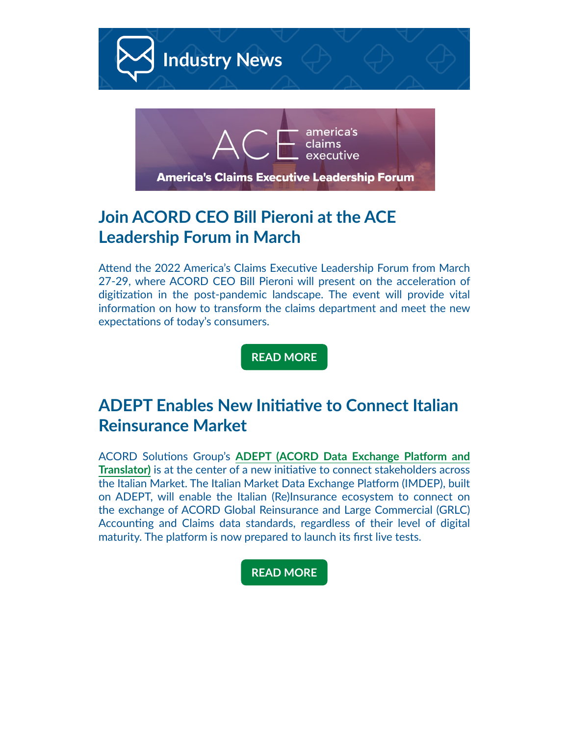

## **Join ACORD CEO Bill Pieroni at the ACE Leadership Forum in March**

Attend the 2022 America's Claims Executive Leadership Forum from March 27-29, where ACORD CEO Bill Pieroni will present on the acceleration of digitization in the post-pandemic landscape. The event will provide vital information on how to transform the claims department and meet the new expectations of today's consumers.

**[READ MORE](https://acord.createsend1.com/t/d-i-akdjhn-l-p/)**

## **ADEPT Enables New Initiative to Connect Italian Reinsurance Market**

ACORD Solutions Group's **[ADEPT \(ACORD Data Exchange Platform and](https://acord.createsend1.com/t/d-i-akdjhn-l-x/)  [Translator\)](https://acord.createsend1.com/t/d-i-akdjhn-l-x/)** is at the center of a new initiative to connect stakeholders across the Italian Market. The Italian Market Data Exchange Platform (IMDEP), built on ADEPT, will enable the Italian (Re)Insurance ecosystem to connect on the exchange of ACORD Global Reinsurance and Large Commercial (GRLC) Accounting and Claims data standards, regardless of their level of digital maturity. The platform is now prepared to launch its first live tests.

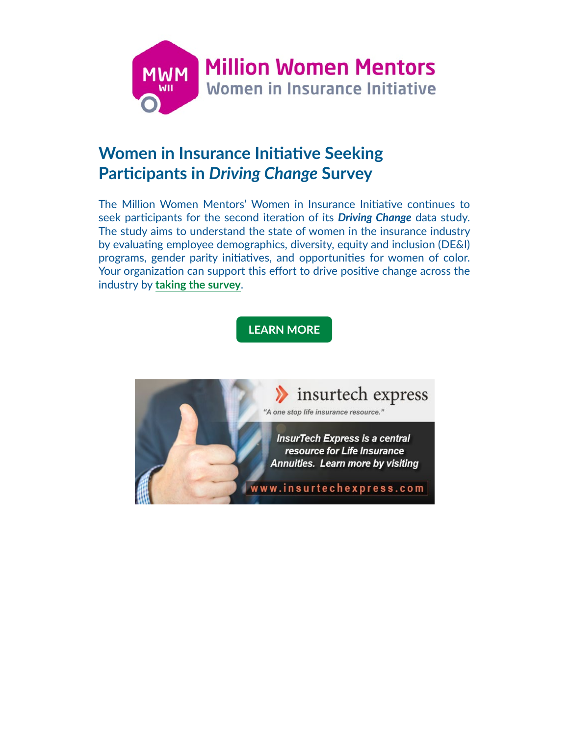

## **Women in Insurance Initiative Seeking Participants in** *Driving Change* **Survey**

The Million Women Mentors' Women in Insurance Initiative continues to seek participants for the second iteration of its *Driving Change* data study. The study aims to understand the state of women in the insurance industry by evaluating employee demographics, diversity, equity and inclusion (DE&I) programs, gender parity initiatives, and opportunities for women of color. Your organization can support this effort to drive positive change across the industry by **[taking the survey](https://acord.createsend1.com/t/d-i-akdjhn-l-q/)**.

**[LEARN MORE](https://acord.createsend1.com/t/d-i-akdjhn-l-a/)**

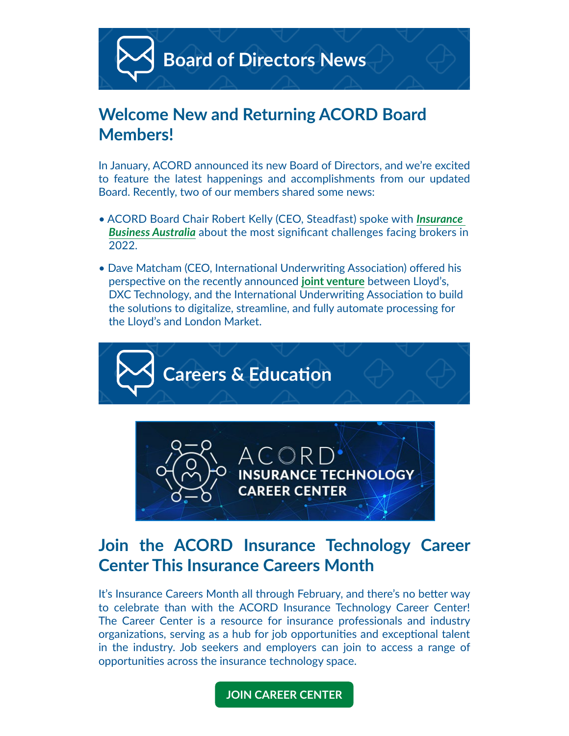

#### **Welcome New and Returning ACORD Board Members!**

In January, ACORD announced its new Board of Directors, and we're excited to feature the latest happenings and accomplishments from our updated Board. Recently, two of our members shared some news:

- ACORD Board Chair Robert Kelly (CEO, Steadfast) spoke with *[Insurance](https://acord.createsend1.com/t/d-i-akdjhn-l-v/)  [Business Australia](https://acord.createsend1.com/t/d-i-akdjhn-l-v/)* about the most significant challenges facing brokers in 2022.
- Dave Matcham (CEO, International Underwriting Association) offered his perspective on the recently announced **[joint venture](https://acord.createsend1.com/t/d-i-akdjhn-l-e/)** between Lloyd's, DXC Technology, and the International Underwriting Association to build the solutions to digitalize, streamline, and fully automate processing for the Lloyd's and London Market.





#### **Join the ACORD Insurance Technology Career Center This Insurance Careers Month**

It's Insurance Careers Month all through February, and there's no better way to celebrate than with the ACORD Insurance Technology Career Center! The Career Center is a resource for insurance professionals and industry organizations, serving as a hub for job opportunities and exceptional talent in the industry. Job seekers and employers can join to access a range of opportunities across the insurance technology space.

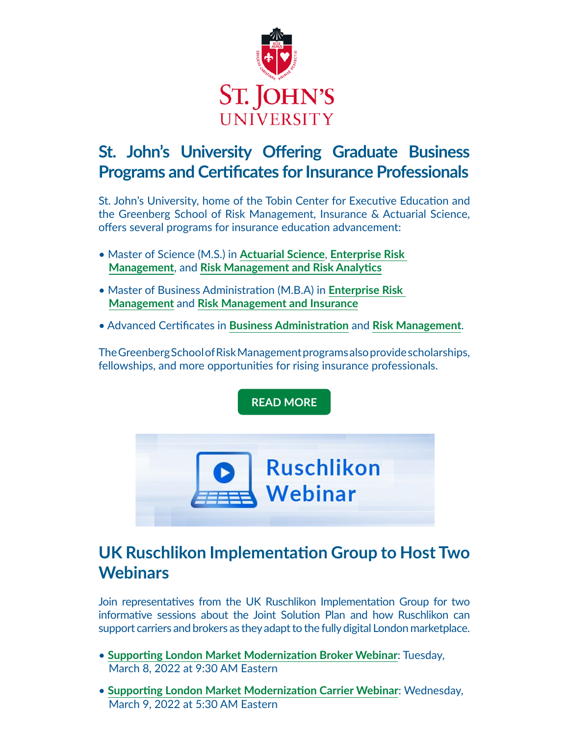

## **St. John's University Offering Graduate Business Programs and Certificates for Insurance Professionals**

St. John's University, home of the Tobin Center for Executive Education and the Greenberg School of Risk Management, Insurance & Actuarial Science, offers several programs for insurance education advancement:

- Master of Science (M.S.) in **[Actuarial Science](https://acord.createsend1.com/t/d-i-akdjhn-l-yd/)**, **[Enterprise Risk](https://acord.createsend1.com/t/d-i-akdjhn-l-yh/)  [Management](https://acord.createsend1.com/t/d-i-akdjhn-l-yh/)**, and **[Risk Management and Risk Analytics](https://acord.createsend1.com/t/d-i-akdjhn-l-yk/)**
- Master of Business Administration (M.B.A) in **[Enterprise Risk](https://acord.createsend1.com/t/d-i-akdjhn-l-yu/)  [Management](https://acord.createsend1.com/t/d-i-akdjhn-l-yu/)** and **[Risk Management and Insurance](https://acord.createsend1.com/t/d-i-akdjhn-l-jl/)**
- Advanced Certificates in **[Business Administration](https://acord.createsend1.com/t/d-i-akdjhn-l-jr/)** and **[Risk Management](https://acord.createsend1.com/t/d-i-akdjhn-l-jy/)**.

The Greenberg School of Risk Management programs also provide scholarships, fellowships, and more opportunities for rising insurance professionals.

**[READ MORE](https://acord.createsend1.com/t/d-i-akdjhn-l-jj/)**



# **UK Ruschlikon Implementation Group to Host Two Webinars**

Join representatives from the UK Ruschlikon Implementation Group for two informative sessions about the Joint Solution Plan and how Ruschlikon can support carriers and brokers as they adapt to the fully digital London marketplace.

- **[Supporting London Market Modernization Broker Webinar](https://acord.createsend1.com/t/d-i-akdjhn-l-ji/)**: Tuesday, March 8, 2022 at 9:30 AM Eastern
- **[Supporting London Market Modernization Carrier Webinar](https://acord.createsend1.com/t/d-i-akdjhn-l-jd/)**: Wednesday, March 9, 2022 at 5:30 AM Eastern